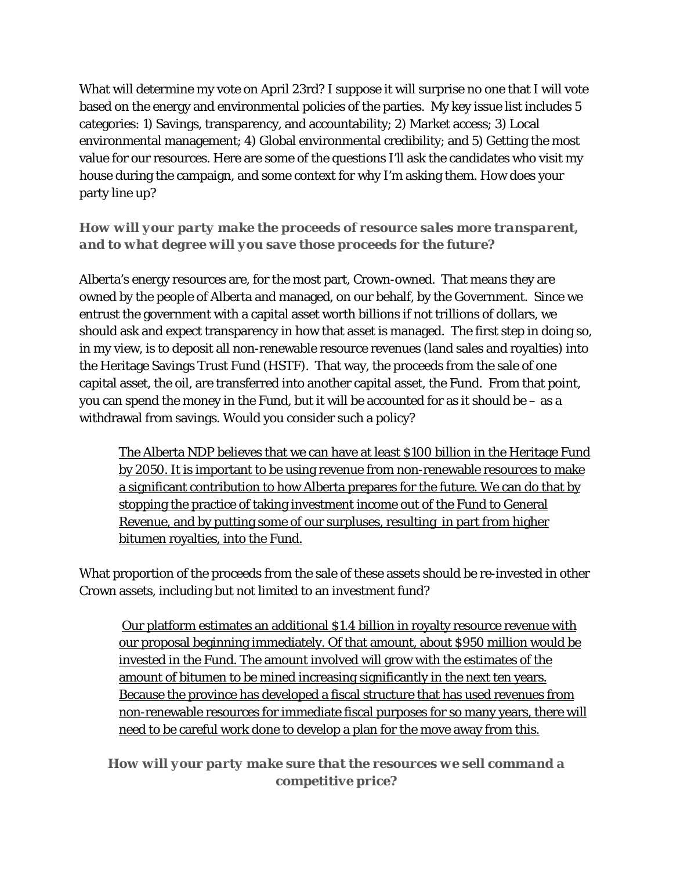What will determine my vote on April 23rd? I suppose it will surprise no one that I will vote based on the energy and environmental policies of the parties. My key issue list includes 5 categories: 1) Savings, transparency, and accountability; 2) Market access; 3) Local environmental management; 4) Global environmental credibility; and 5) Getting the most value for our resources. Here are some of the questions I'll ask the candidates who visit my house during the campaign, and some context for why I'm asking them. How does your party line up?

### *How will your party make the proceeds of resource sales more transparent, and to what degree will you save those proceeds for the future?*

Alberta's energy resources are, for the most part, Crown-owned. That means they are owned by the people of Alberta and managed, on our behalf, by the Government. Since we entrust the government with a capital asset worth billions if not trillions of dollars, we should ask and expect transparency in how that asset is managed. The first step in doing so, in my view, is to deposit all non-renewable resource revenues (land sales and royalties) into the Heritage Savings Trust Fund (HSTF). That way, the proceeds from the sale of one capital asset, the oil, are transferred into another capital asset, the Fund. From that point, you can spend the money in the Fund, but it will be accounted for as it should be – as a withdrawal from savings. Would you consider such a policy?

The Alberta NDP believes that we can have at least \$100 billion in the Heritage Fund by 2050. It is important to be using revenue from non-renewable resources to make a significant contribution to how Alberta prepares for the future. We can do that by stopping the practice of taking investment income out of the Fund to General Revenue, and by putting some of our surpluses, resulting in part from higher bitumen royalties, into the Fund.

What proportion of the proceeds from the sale of these assets should be re-invested in other Crown assets, including but not limited to an investment fund?

 Our platform estimates an additional \$1.4 billion in royalty resource revenue with our proposal beginning immediately. Of that amount, about \$950 million would be invested in the Fund. The amount involved will grow with the estimates of the amount of bitumen to be mined increasing significantly in the next ten years. Because the province has developed a fiscal structure that has used revenues from non-renewable resources for immediate fiscal purposes for so many years, there will need to be careful work done to develop a plan for the move away from this.

*How will your party make sure that the resources we sell command a competitive price?*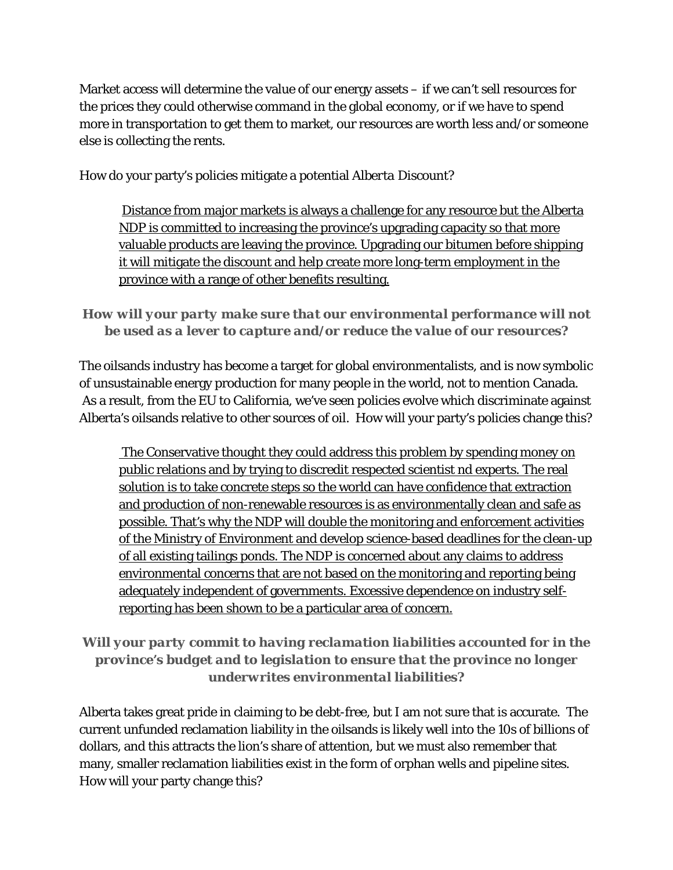Market access will determine the value of our energy assets – if we can't sell resources for the prices they could otherwise command in the global economy, or if we have to spend more in transportation to get them to market, our resources are worth less and/or someone else is collecting the rents.

How do your party's policies mitigate a potential *Alberta Discount?*

 Distance from major markets is always a challenge for any resource but the Alberta NDP is committed to increasing the province's upgrading capacity so that more valuable products are leaving the province. Upgrading our bitumen before shipping it will mitigate the discount and help create more long-term employment in the province with a range of other benefits resulting.

# *How will your party make sure that our environmental performance will not be used as a lever to capture and/or reduce the value of our resources?*

The oilsands industry has become a target for global environmentalists, and is now symbolic of unsustainable energy production for many people in the world, not to mention Canada. As a result, from the EU to California, we've seen policies evolve which discriminate against Alberta's oilsands relative to other sources of oil. How will your party's policies change this?

 The Conservative thought they could address this problem by spending money on public relations and by trying to discredit respected scientist nd experts. The real solution is to take concrete steps so the world can have confidence that extraction and production of non-renewable resources is as environmentally clean and safe as possible. That's why the NDP will double the monitoring and enforcement activities of the Ministry of Environment and develop science-based deadlines for the clean-up of all existing tailings ponds. The NDP is concerned about any claims to address environmental concerns that are not based on the monitoring and reporting being adequately independent of governments. Excessive dependence on industry selfreporting has been shown to be a particular area of concern.

# *Will your party commit to having reclamation liabilities accounted for in the province's budget and to legislation to ensure that the province no longer underwrites environmental liabilities?*

Alberta takes great pride in claiming to be debt-free, but I am not sure that is accurate. The current unfunded reclamation liability in the oilsands is likely well into the 10s of billions of dollars, and this attracts the lion's share of attention, but we must also remember that many, smaller reclamation liabilities exist in the form of orphan wells and pipeline sites. How will your party change this?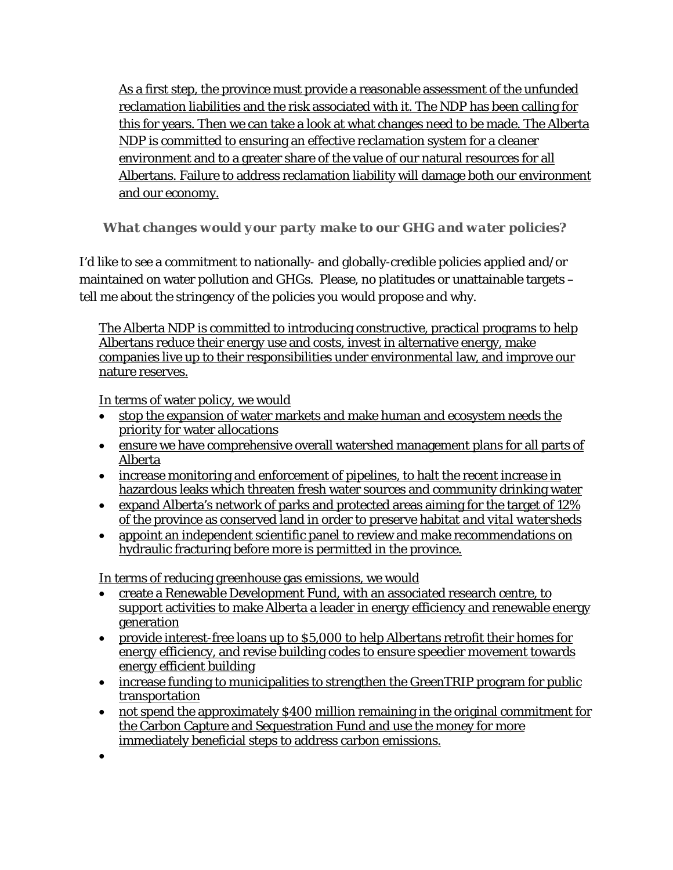As a first step, the province must provide a reasonable assessment of the unfunded reclamation liabilities and the risk associated with it. The NDP has been calling for this for years. Then we can take a look at what changes need to be made. The Alberta NDP is committed to ensuring an effective reclamation system for a cleaner environment and to a greater share of the value of our natural resources for all Albertans. Failure to address reclamation liability will damage both our environment and our economy.

### *What changes would your party make to our GHG and water policies?*

I'd like to see a commitment to nationally- and globally-credible policies applied and/or maintained on water pollution and GHGs. Please, no platitudes or unattainable targets – tell me about the stringency of the policies you would propose and why.

The Alberta NDP is committed to introducing constructive, practical programs to help Albertans reduce their energy use and costs, invest in alternative energy, make companies live up to their responsibilities under environmental law, and improve our nature reserves.

In terms of water policy, we would

- stop the expansion of water markets and make human and ecosystem needs the priority for water allocations
- ensure we have comprehensive overall watershed management plans for all parts of Alberta
- increase monitoring and enforcement of pipelines, to halt the recent increase in hazardous leaks which threaten fresh water sources and community drinking water
- expand Alberta's network of parks and protected areas aiming for the target of 12% of the province as conserved land in order to preserve habitat *and vital watersheds*
- appoint an independent scientific panel to review and make recommendations on hydraulic fracturing before more is permitted in the province.

In terms of reducing greenhouse gas emissions, we would

- create a Renewable Development Fund, with an associated research centre, to support activities to make Alberta a leader in energy efficiency and renewable energy generation
- provide interest-free loans up to \$5,000 to help Albertans retrofit their homes for energy efficiency, and revise building codes to ensure speedier movement towards energy efficient building
- increase funding to municipalities to strengthen the GreenTRIP program for public transportation
- not spend the approximately \$400 million remaining in the original commitment for the Carbon Capture and Sequestration Fund and use the money for more immediately beneficial steps to address carbon emissions.
- $\bullet$